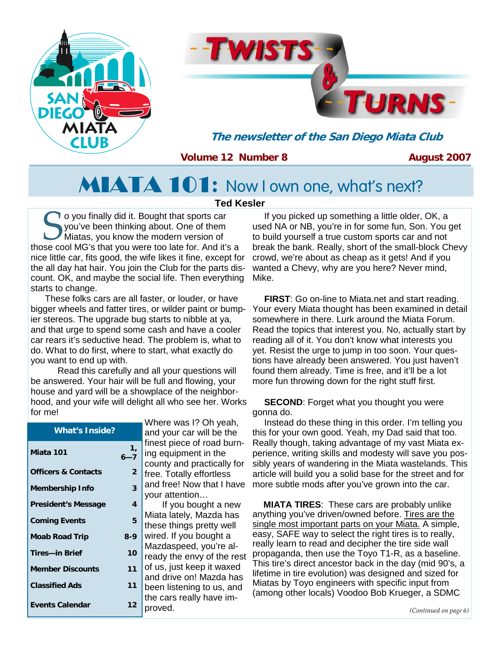



**The newsletter of the San Diego Miata Club** 

## **Volume 12 Number 8**

**August 2007** 

# MIATA 101**:** Now I own one, what's next?

#### **Ted Kesler**

So you finally did it. Bought that sports car you've been thinking about. One of them Miatas, you know the modern version of those cool MG's that you were too late for. And it's a you've been thinking about. One of them Miatas, you know the modern version of nice little car, fits good, the wife likes it fine, except for the all day hat hair. You join the Club for the parts discount. OK, and maybe the social life. Then everything starts to change.

 These folks cars are all faster, or louder, or have bigger wheels and fatter tires, or wilder paint or bumpier stereos. The upgrade bug starts to nibble at ya, and that urge to spend some cash and have a cooler car rears it's seductive head. The problem is, what to do. What to do first, where to start, what exactly do you want to end up with.

 Read this carefully and all your questions will be answered. Your hair will be full and flowing, your house and yard will be a showplace of the neighborhood, and your wife will delight all who see her. Works for me!

|                                |                             | Where was I? Oh yeah,                               |
|--------------------------------|-----------------------------|-----------------------------------------------------|
| <b>What's Inside?</b>          |                             | and your car will be the                            |
| Miata 101                      | $\mathbf{1}_{I}$<br>$6 - 7$ | finest piece of road burn-<br>ing equipment in the  |
|                                |                             | county and practically for                          |
| <b>Officers &amp; Contacts</b> | $\overline{2}$              | free. Totally effortless                            |
| <b>Membership Info</b>         | 3                           | and free! Now that I have                           |
|                                |                             | your attention                                      |
| <b>President's Message</b>     | 4                           | If you bought a new                                 |
| <b>Coming Events</b>           | 5                           | Miata lately, Mazda has<br>these things pretty well |
| <b>Moab Road Trip</b>          | $8 - 9$                     | wired. If you bought a                              |
|                                |                             | Mazdaspeed, you're al-                              |
| Tires-in Brief                 | 10                          | ready the envy of the rest                          |
| <b>Member Discounts</b>        | 11                          | of us, just keep it waxed                           |
|                                |                             | and drive on! Mazda has                             |
| <b>Classified Ads</b>          | 11                          | been listening to us, and                           |
| <b>Events Calendar</b>         | 12                          | the cars really have im-                            |
|                                |                             | proved.                                             |

If you picked up something a little older, OK, a used NA or NB, you're in for some fun, Son. You get to build yourself a true custom sports car and not break the bank. Really, short of the small-block Chevy crowd, we're about as cheap as it gets! And if you wanted a Chevy, why are you here? Never mind, Mike.

**FIRST**: Go on-line to Miata.net and start reading. Your every Miata thought has been examined in detail somewhere in there. Lurk around the Miata Forum. Read the topics that interest you. No, actually start by reading all of it. You don't know what interests you yet. Resist the urge to jump in too soon. Your questions have already been answered. You just haven't found them already. Time is free, and it'll be a lot more fun throwing down for the right stuff first.

**SECOND:** Forget what you thought you were gonna do.

and free! Now that I have more subtle mods after you've grown into the car. Instead do these thing in this order. I'm telling you this for your own good. Yeah, my Dad said that too. Really though, taking advantage of my vast Miata experience, writing skills and modesty will save you possibly years of wandering in the Miata wastelands. This article will build you a solid base for the street and for

> **MIATA TIRES**: These cars are probably unlike anything you've driven/owned before. Tires are the single most important parts on your Miata. A simple, easy, SAFE way to select the right tires is to really, really learn to read and decipher the tire side wall propaganda, then use the Toyo T1-R, as a baseline. This tire's direct ancestor back in the day (mid 90's, a lifetime in tire evolution) was designed and sized for Miatas by Toyo engineers with specific input from (among other locals) Voodoo Bob Krueger, a SDMC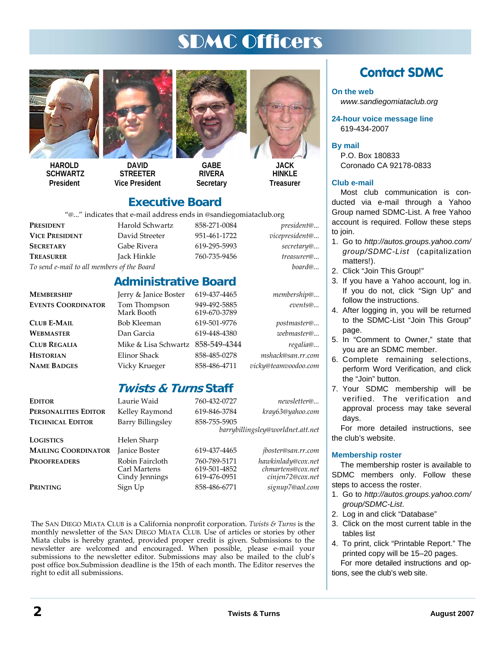# SDMC Officers



**HAROLD SCHWARTZ President** 



**DAVID STREETER Vice President** 



**GABE RIVERA Secretary** 

619-670-3789



**HINKI F Treasurer** 

## **Executive Board**

"@..." indicates that e-mail address ends in @sandiegomiataclub.org

**Administrative Board** 

|                       | C Thuicates that e-mail address ends in Csandiegonialaciup.org |              |                    |
|-----------------------|----------------------------------------------------------------|--------------|--------------------|
| PRESIDENT             | Harold Schwartz                                                | 858-271-0084 | <i>president</i> @ |
| <b>VICE PRESIDENT</b> | David Streeter                                                 | 951-461-1722 | vicepresident@     |
| <b>SECRETARY</b>      | Gabe Rivera                                                    | 619-295-5993 | secretary@         |
| <b>TREASURER</b>      | Jack Hinkle                                                    | 760-735-9456 | treasurer@         |
|                       |                                                                |              |                    |

*To send e-mail to all members of the Board board@...*

## **MEMBERSHIP** Jerry & Janice Boster 619-437-4465 *membership@...*

**EVENTS COORDINATOR** Tom Thompson 949-492-5885 *events@...*<br>Mark Booth 619-670-3789

**CLUB E-MAIL** Bob Kleeman 619-501-9776 *postmaster@...* **WEBMASTER** Dan Garcia 619-448-4380 *webmaster@...*  **CLUB REGALIA** Mike & Lisa Schwartz 858-549-4344 *regalia@...*

**HISTORIAN** Elinor Shack 858-485-0278 *mshack@san.rr.com* **NAME BADGES** Vicky Krueger 858-486-4711 *vicky@teamvoodoo.com*

## **Twists & Turns Staff**

| Editor                     | Laurie Waid                                       | 760-432-0727                                 | newsletter@                                                 |
|----------------------------|---------------------------------------------------|----------------------------------------------|-------------------------------------------------------------|
| PERSONALITIES EDITOR       | Kelley Raymond                                    | 619-846-3784                                 | kray63@yahoo.com                                            |
| <b>TECHNICAL EDITOR</b>    | Barry Billingsley                                 | 858-755-5905                                 |                                                             |
|                            |                                                   |                                              | barrybillingsley@worldnet.att.net                           |
| LOGISTICS                  | Helen Sharp                                       |                                              |                                                             |
| <b>MAILING COORDINATOR</b> | Janice Boster                                     | 619-437-4465                                 | jboster@san.rr.com                                          |
| <b>PROOFREADERS</b>        | Robin Faircloth<br>Carl Martens<br>Cindy Jennings | 760-789-5171<br>619-501-4852<br>619-476-0951 | hawkinlady@cox.net<br>chmartens@cox.net<br>cinjen72@cox.net |
| Printing                   | Sign Up                                           | 858-486-6771                                 | signup7@aol.com                                             |

The SAN DIEGO MIATA CLUB is a California nonprofit corporation. *Twists & Turns* is the monthly newsletter of the SAN DIEGO MIATA CLUB. Use of articles or stories by other Miata clubs is hereby granted, provided proper credit is given. Submissions to the newsletter are welcomed and encouraged. When possible, please e-mail your submissions to the newsletter editor. Submissions may also be mailed to the club's post office box.Submission deadline is the 15th of each month. The Editor reserves the right to edit all submissions.

## **Contact SDMC**

#### **On the web**

*www.sandiegomiataclub.org* 

**24-hour voice message line**  619-434-2007

**By mail** 

P.O. Box 180833 Coronado CA 92178-0833

#### **Club e-mail**

Most club communication is conducted via e-mail through a Yahoo Group named SDMC-List. A free Yahoo account is required. Follow these steps to join.

- 1. Go to *http://autos.groups.yahoo.com/ group/SDMC-List* (capitalization matters!).
- 2. Click "Join This Group!"
- 3. If you have a Yahoo account, log in. If you do not, click "Sign Up" and follow the instructions.
- 4. After logging in, you will be returned to the SDMC-List "Join This Group" page.
- 5. In "Comment to Owner," state that you are an SDMC member.
- 6. Complete remaining selections, perform Word Verification, and click the "Join" button.
- 7. Your SDMC membership will be verified. The verification and approval process may take several days.

For more detailed instructions, see the club's website.

#### **Membership roster**

The membership roster is available to SDMC members only. Follow these steps to access the roster.

- 1. Go to *http://autos.groups.yahoo.com/ group/SDMC-List*.
- 2. Log in and click "Database"
- 3. Click on the most current table in the tables list
- 4. To print, click "Printable Report." The printed copy will be 15–20 pages. For more detailed instructions and options, see the club's web site.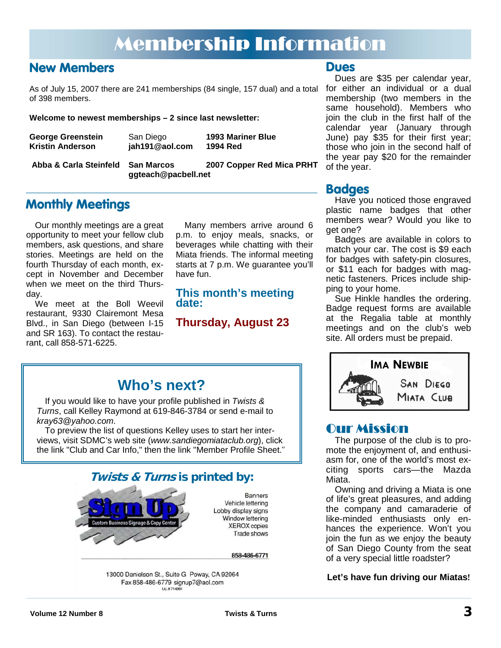# Membership Information

## **New Members**

As of July 15, 2007 there are 241 memberships (84 single, 157 dual) and a total of 398 members.

**Welcome to newest memberships – 2 since last newsletter:** 

| <b>1993 Mariner Blue</b><br><b>George Greenstein</b><br>San Diego<br>jah191@aol.com<br><b>Kristin Anderson</b><br>1994 Red |  |
|----------------------------------------------------------------------------------------------------------------------------|--|
|----------------------------------------------------------------------------------------------------------------------------|--|

 **ggteach@pacbell.net**

**Abba & Carla Steinfeld San Marcos 2007 Copper Red Mica PRHT** 

## **Monthly Meetings**

Our monthly meetings are a great opportunity to meet your fellow club members, ask questions, and share stories. Meetings are held on the fourth Thursday of each month, except in November and December when we meet on the third Thursday.

We meet at the Boll Weevil restaurant, 9330 Clairemont Mesa Blvd., in San Diego (between I-15 and SR 163). To contact the restaurant, call 858-571-6225.

Many members arrive around 6 p.m. to enjoy meals, snacks, or beverages while chatting with their Miata friends. The informal meeting starts at 7 p.m. We guarantee you'll have fun.

### **This month's meeting date:**

## **Thursday, August 23**

## **Dues**

Dues are \$35 per calendar year, for either an individual or a dual membership (two members in the same household). Members who join the club in the first half of the calendar year (January through June) pay \$35 for their first year; those who join in the second half of the year pay \$20 for the remainder of the year.

## **Badges**

Have you noticed those engraved plastic name badges that other members wear? Would you like to get one?

Badges are available in colors to match your car. The cost is \$9 each for badges with safety-pin closures, or \$11 each for badges with magnetic fasteners. Prices include shipping to your home.

Sue Hinkle handles the ordering. Badge request forms are available at the Regalia table at monthly meetings and on the club's web site. All orders must be prepaid.



## Our Mission

The purpose of the club is to promote the enjoyment of, and enthusiasm for, one of the world's most exciting sports cars—the Mazda Miata.

Owning and driving a Miata is one of life's great pleasures, and adding the company and camaraderie of like-minded enthusiasts only enhances the experience. Won't you join the fun as we enjoy the beauty of San Diego County from the seat of a very special little roadster?

#### **Let's have fun driving our Miatas!**

## **Who's next?**

If you would like to have your profile published in *Twists & Turns*, call Kelley Raymond at 619-846-3784 or send e-mail to *kray63@yahoo.com*.

To preview the list of questions Kelley uses to start her interviews, visit SDMC's web site (*www.sandiegomiataclub.org*), click the link "Club and Car Info," then the link "Member Profile Sheet."

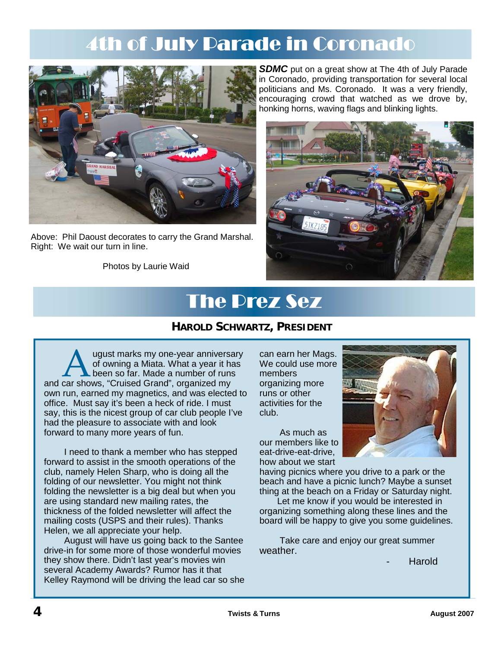# 4th of July Parade in Coronado



Above: Phil Daoust decorates to carry the Grand Marshal. Right: We wait our turn in line.

Photos by Laurie Waid

**SDMC** put on a great show at The 4th of July Parade in Coronado, providing transportation for several local politicians and Ms. Coronado. It was a very friendly, encouraging crowd that watched as we drove by, honking horns, waving flags and blinking lights.



# The Prez Sez

## **HAROLD SCHWARTZ, PRESIDENT**

A ugust marks my one-year anniversary<br>
of owning a Miata. What a year it has<br>
and car shows, "Cruised Grand", organized my of owning a Miata. What a year it has been so far. Made a number of runs own run, earned my magnetics, and was elected to office. Must say it's been a heck of ride. I must say, this is the nicest group of car club people I've had the pleasure to associate with and look forward to many more years of fun.

 I need to thank a member who has stepped forward to assist in the smooth operations of the club, namely Helen Sharp, who is doing all the folding of our newsletter. You might not think folding the newsletter is a big deal but when you are using standard new mailing rates, the thickness of the folded newsletter will affect the mailing costs (USPS and their rules). Thanks Helen, we all appreciate your help.

 August will have us going back to the Santee drive-in for some more of those wonderful movies they show there. Didn't last year's movies win several Academy Awards? Rumor has it that Kelley Raymond will be driving the lead car so she can earn her Mags. We could use more members organizing more runs or other activities for the club.

 As much as our members like to eat-drive-eat-drive, how about we start



having picnics where you drive to a park or the beach and have a picnic lunch? Maybe a sunset thing at the beach on a Friday or Saturday night.

Let me know if you would be interested in organizing something along these lines and the board will be happy to give you some guidelines.

 Take care and enjoy our great summer weather.

**Harold**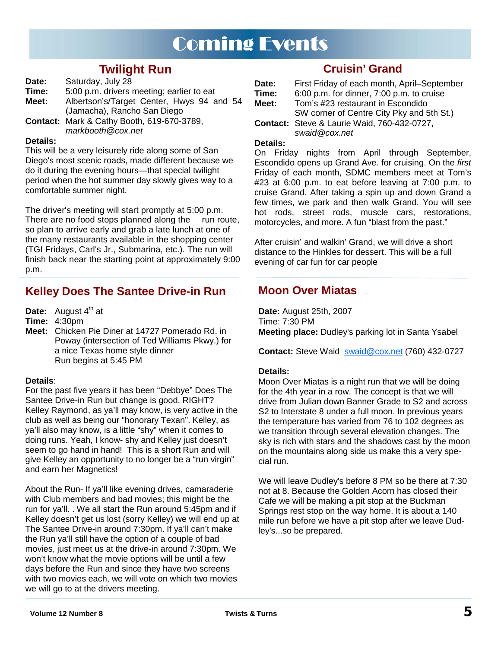## Coming Events

## **Twilight Run**

- **Date:** Saturday, July 28
- **Time:** 5:00 p.m. drivers meeting; earlier to eat

**Meet:** Albertson's/Target Center, Hwys 94 and 54 (Jamacha), Rancho San Diego

**Contact:** Mark & Cathy Booth, 619-670-3789, *markbooth@cox.net* 

#### **Details:**

This will be a very leisurely ride along some of San Diego's most scenic roads, made different because we do it during the evening hours—that special twilight period when the hot summer day slowly gives way to a comfortable summer night.

The driver's meeting will start promptly at 5:00 p.m. There are no food stops planned along the run route, so plan to arrive early and grab a late lunch at one of the many restaurants available in the shopping center (TGI Fridays, Carl's Jr., Submarina, etc.). The run will finish back near the starting point at approximately 9:00 p.m.

## **Kelley Does The Santee Drive-in Run**

**Date:** August 4<sup>th</sup> at

**Time:** 4:30pm

**Meet:** Chicken Pie Diner at 14727 Pomerado Rd. in Poway (intersection of Ted Williams Pkwy.) for a nice Texas home style dinner Run begins at 5:45 PM

#### **Details**:

For the past five years it has been "Debbye" Does The Santee Drive-in Run but change is good, RIGHT? Kelley Raymond, as ya'll may know, is very active in the club as well as being our "honorary Texan". Kelley, as ya'll also may know, is a little "shy" when it comes to doing runs. Yeah, I know- shy and Kelley just doesn't seem to go hand in hand! This is a short Run and will give Kelley an opportunity to no longer be a "run virgin" and earn her Magnetics!

About the Run- If ya'll like evening drives, camaraderie with Club members and bad movies; this might be the run for ya'll. . We all start the Run around 5:45pm and if Kelley doesn't get us lost (sorry Kelley) we will end up at The Santee Drive-in around 7:30pm. If ya'll can't make the Run ya'll still have the option of a couple of bad movies, just meet us at the drive-in around 7:30pm. We won't know what the movie options will be until a few days before the Run and since they have two screens with two movies each, we will vote on which two movies we will go to at the drivers meeting.

## **Cruisin' Grand**

| Date: | First Friday of each month, April-September        |
|-------|----------------------------------------------------|
| Time: | 6:00 p.m. for dinner, 7:00 p.m. to cruise          |
| Meet: | Tom's #23 restaurant in Escondido                  |
|       | SW corner of Centre City Pky and 5th St.)          |
|       | <b>Contact:</b> Steve & Laurie Waid, 760-432-0727, |

## *swaid@cox.net*

#### **Details:**

On Friday nights from April through September, Escondido opens up Grand Ave. for cruising. On the *first*  Friday of each month, SDMC members meet at Tom's #23 at 6:00 p.m. to eat before leaving at 7:00 p.m. to cruise Grand. After taking a spin up and down Grand a few times, we park and then walk Grand. You will see hot rods, street rods, muscle cars, restorations, motorcycles, and more. A fun "blast from the past."

After cruisin' and walkin' Grand, we will drive a short distance to the Hinkles for dessert. This will be a full evening of car fun for car people

## **Moon Over Miatas**

**Date:** August 25th, 2007 Time: 7:30 PM **Meeting place:** Dudley's parking lot in Santa Ysabel

Contact: Steve Waid **swaid@cox.net** (760) 432-0727

#### **Details:**

Moon Over Miatas is a night run that we will be doing for the 4th year in a row. The concept is that we will drive from Julian down Banner Grade to S2 and across S2 to Interstate 8 under a full moon. In previous years the temperature has varied from 76 to 102 degrees as we transition through several elevation changes. The sky is rich with stars and the shadows cast by the moon on the mountains along side us make this a very special run.

We will leave Dudley's before 8 PM so be there at 7:30 not at 8. Because the Golden Acorn has closed their Cafe we will be making a pit stop at the Buckman Springs rest stop on the way home. It is about a 140 mile run before we have a pit stop after we leave Dudley's...so be prepared.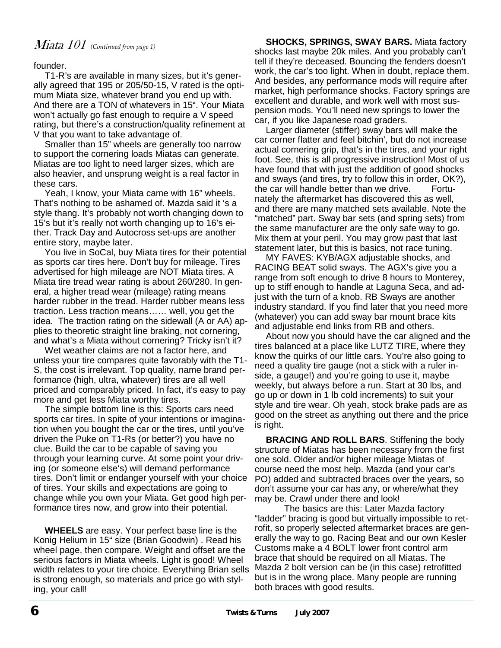## Miata 101 *(Continued from page 1)*

founder.

T1-R's are available in many sizes, but it's generally agreed that 195 or 205/50-15, V rated is the optimum Miata size, whatever brand you end up with. And there are a TON of whatevers in 15". Your Miata won't actually go fast enough to require a V speed rating, but there's a construction/quality refinement at V that you want to take advantage of.

Smaller than 15" wheels are generally too narrow to support the cornering loads Miatas can generate. Miatas are too light to need larger sizes, which are also heavier, and unsprung weight is a real factor in these cars.

Yeah, I know, your Miata came with 16" wheels. That's nothing to be ashamed of. Mazda said it 's a style thang. It's probably not worth changing down to 15's but it's really not worth changing up to 16's either. Track Day and Autocross set-ups are another entire story, maybe later.

You live in SoCal, buy Miata tires for their potential as sports car tires here. Don't buy for mileage. Tires advertised for high mileage are NOT Miata tires. A Miata tire tread wear rating is about 260/280. In general, a higher tread wear (mileage) rating means harder rubber in the tread. Harder rubber means less traction. Less traction means…… well, you get the idea. The traction rating on the sidewall (A or AA) applies to theoretic straight line braking, not cornering, and what's a Miata without cornering? Tricky isn't it?

Wet weather claims are not a factor here, and unless your tire compares quite favorably with the T1- S, the cost is irrelevant. Top quality, name brand performance (high, ultra, whatever) tires are all well priced and comparably priced. In fact, it's easy to pay more and get less Miata worthy tires.

The simple bottom line is this: Sports cars need sports car tires. In spite of your intentions or imagination when you bought the car or the tires, until you've driven the Puke on T1-Rs (or better?) you have no clue. Build the car to be capable of saving you through your learning curve. At some point your driving (or someone else's) will demand performance tires. Don't limit or endanger yourself with your choice of tires. Your skills and expectations are going to change while you own your Miata. Get good high performance tires now, and grow into their potential.

**WHEELS** are easy. Your perfect base line is the Konig Helium in 15" size (Brian Goodwin) . Read his wheel page, then compare. Weight and offset are the serious factors in Miata wheels. Light is good! Wheel width relates to your tire choice. Everything Brian sells is strong enough, so materials and price go with styling, your call!

**SHOCKS, SPRINGS, SWAY BARS.** Miata factory shocks last maybe 20k miles. And you probably can't tell if they're deceased. Bouncing the fenders doesn't work, the car's too light. When in doubt, replace them. And besides, any performance mods will require after market, high performance shocks. Factory springs are excellent and durable, and work well with most suspension mods. You'll need new springs to lower the car, if you like Japanese road graders.

Larger diameter (stiffer) sway bars will make the car corner flatter and feel bitchin', but do not increase actual cornering grip, that's in the tires, and your right foot. See, this is all progressive instruction! Most of us have found that with just the addition of good shocks and sways (and tires, try to follow this in order, OK?), the car will handle better than we drive. Fortunately the aftermarket has discovered this as well, and there are many matched sets available. Note the "matched" part. Sway bar sets (and spring sets) from the same manufacturer are the only safe way to go. Mix them at your peril. You may grow past that last statement later, but this is basics, not race tuning.

MY FAVES: KYB/AGX adjustable shocks, and RACING BEAT solid sways. The AGX's give you a range from soft enough to drive 8 hours to Monterey, up to stiff enough to handle at Laguna Seca, and adjust with the turn of a knob. RB Sways are another industry standard. If you find later that you need more (whatever) you can add sway bar mount brace kits and adjustable end links from RB and others.

About now you should have the car aligned and the tires balanced at a place like LUTZ TIRE, where they know the quirks of our little cars. You're also going to need a quality tire gauge (not a stick with a ruler inside, a gauge!) and you're going to use it, maybe weekly, but always before a run. Start at 30 lbs, and go up or down in 1 lb cold increments) to suit your style and tire wear. Oh yeah, stock brake pads are as good on the street as anything out there and the price is right.

**BRACING AND ROLL BARS**. Stiffening the body structure of Miatas has been necessary from the first one sold. Older and/or higher mileage Miatas of course need the most help. Mazda (and your car's PO) added and subtracted braces over the years, so don't assume your car has any, or where/what they may be. Crawl under there and look!

 The basics are this: Later Mazda factory "ladder" bracing is good but virtually impossible to retrofit, so properly selected aftermarket braces are generally the way to go. Racing Beat and our own Kesler Customs make a 4 BOLT lower front control arm brace that should be required on all Miatas. The Mazda 2 bolt version can be (in this case) retrofitted but is in the wrong place. Many people are running both braces with good results.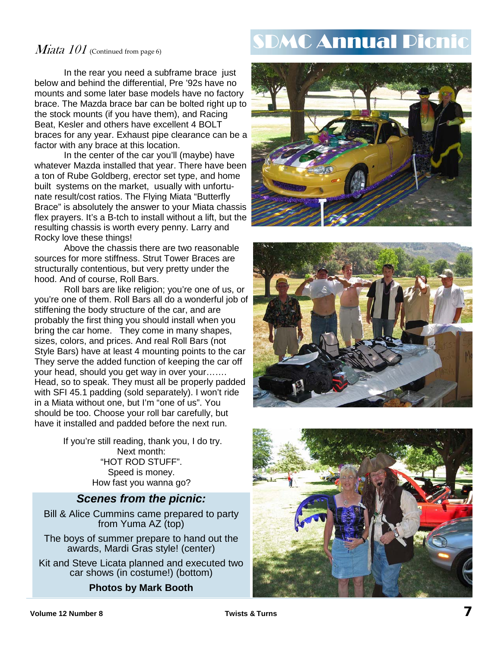## Miata  $101$  (Continued from page 6)

 In the rear you need a subframe brace just below and behind the differential, Pre '92s have no mounts and some later base models have no factory brace. The Mazda brace bar can be bolted right up to the stock mounts (if you have them), and Racing Beat, Kesler and others have excellent 4 BOLT braces for any year. Exhaust pipe clearance can be a factor with any brace at this location.

 In the center of the car you'll (maybe) have whatever Mazda installed that year. There have been a ton of Rube Goldberg, erector set type, and home built systems on the market, usually with unfortunate result/cost ratios. The Flying Miata "Butterfly Brace" is absolutely the answer to your Miata chassis flex prayers. It's a B-tch to install without a lift, but the resulting chassis is worth every penny. Larry and Rocky love these things!

 Above the chassis there are two reasonable sources for more stiffness. Strut Tower Braces are structurally contentious, but very pretty under the hood. And of course, Roll Bars.

 Roll bars are like religion; you're one of us, or you're one of them. Roll Bars all do a wonderful job of stiffening the body structure of the car, and are probably the first thing you should install when you bring the car home. They come in many shapes, sizes, colors, and prices. And real Roll Bars (not Style Bars) have at least 4 mounting points to the car They serve the added function of keeping the car off your head, should you get way in over your……. Head, so to speak. They must all be properly padded with SFI 45.1 padding (sold separately). I won't ride in a Miata without one, but I'm "one of us". You should be too. Choose your roll bar carefully, but have it installed and padded before the next run.

> If you're still reading, thank you, I do try. Next month: "HOT ROD STUFF". Speed is money. How fast you wanna go?

### *Scenes from the picnic:*

Bill & Alice Cummins came prepared to party from Yuma AZ (top)

The boys of summer prepare to hand out the awards, Mardi Gras style! (center)

Kit and Steve Licata planned and executed two car shows (in costume!) (bottom)

### **Photos by Mark Booth**

# DMC Annual Picn





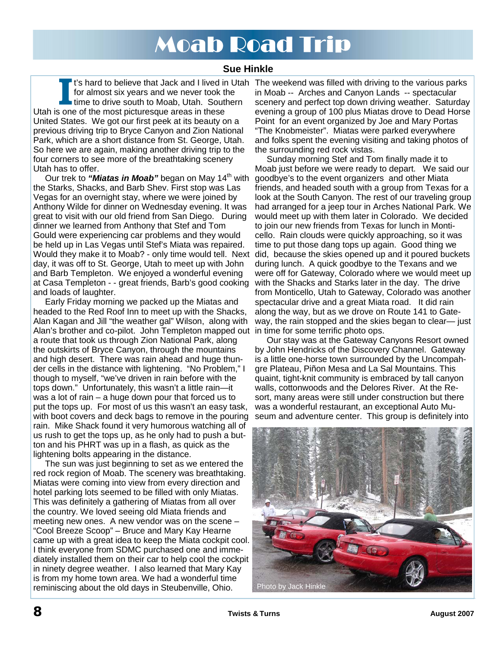# Moab Road Trip

## **Sue Hinkle**

for almost six years and we never took the time to drive south to Moab, Utah. Southern Utah is one of the most picturesque areas in these United States. We got our first peek at its beauty on a previous driving trip to Bryce Canyon and Zion National Park, which are a short distance from St. George, Utah. So here we are again, making another driving trip to the four corners to see more of the breathtaking scenery Utah has to offer.

Our trek to *"Miatas in Moab"* began on May 14<sup>th</sup> with the Starks, Shacks, and Barb Shev. First stop was Las Vegas for an overnight stay, where we were joined by Anthony Wilde for dinner on Wednesday evening. It was great to visit with our old friend from San Diego. During dinner we learned from Anthony that Stef and Tom Gould were experiencing car problems and they would be held up in Las Vegas until Stef's Miata was repaired. Would they make it to Moab? - only time would tell. Next did, because the skies opened up and it poured buckets day, it was off to St. George, Utah to meet up with John and Barb Templeton. We enjoyed a wonderful evening at Casa Templeton - - great friends, Barb's good cooking and loads of laughter.

Early Friday morning we packed up the Miatas and headed to the Red Roof Inn to meet up with the Shacks, Alan Kagan and Jill "the weather gal" Wilson, along with Alan's brother and co-pilot. John Templeton mapped out in time for some terrific photo ops. a route that took us through Zion National Park, along the outskirts of Bryce Canyon, through the mountains and high desert. There was rain ahead and huge thunder cells in the distance with lightening. "No Problem," I though to myself, "we've driven in rain before with the tops down." Unfortunately, this wasn't a little rain—it was a lot of rain – a huge down pour that forced us to put the tops up. For most of us this wasn't an easy task, with boot covers and deck bags to remove in the pouring rain. Mike Shack found it very humorous watching all of us rush to get the tops up, as he only had to push a button and his PHRT was up in a flash, as quick as the lightening bolts appearing in the distance.

The sun was just beginning to set as we entered the red rock region of Moab. The scenery was breathtaking. Miatas were coming into view from every direction and hotel parking lots seemed to be filled with only Miatas. This was definitely a gathering of Miatas from all over the country. We loved seeing old Miata friends and meeting new ones. A new vendor was on the scene – "Cool Breeze Scoop" – Bruce and Mary Kay Hearne came up with a great idea to keep the Miata cockpit cool. I think everyone from SDMC purchased one and immediately installed them on their car to help cool the cockpit in ninety degree weather. I also learned that Mary Kay is from my home town area. We had a wonderful time reminiscing about the old days in Steubenville, Ohio.

It's hard to believe that Jack and I lived in Utah The weekend was filled with driving to the various parks<br>for almost six years and we never took the<br>time to drive south to Moab, Utah. Southern scenery and perfect top dow in Moab -- Arches and Canyon Lands -- spectacular scenery and perfect top down driving weather. Saturday evening a group of 100 plus Miatas drove to Dead Horse Point for an event organized by Joe and Mary Portas "The Knobmeister". Miatas were parked everywhere and folks spent the evening visiting and taking photos of the surrounding red rock vistas.

Sunday morning Stef and Tom finally made it to Moab just before we were ready to depart. We said our goodbye's to the event organizers and other Miata friends, and headed south with a group from Texas for a look at the South Canyon. The rest of our traveling group had arranged for a jeep tour in Arches National Park. We would meet up with them later in Colorado. We decided to join our new friends from Texas for lunch in Monticello. Rain clouds were quickly approaching, so it was time to put those dang tops up again. Good thing we during lunch. A quick goodbye to the Texans and we were off for Gateway, Colorado where we would meet up with the Shacks and Starks later in the day. The drive from Monticello, Utah to Gateway, Colorado was another spectacular drive and a great Miata road. It did rain along the way, but as we drove on Route 141 to Gateway, the rain stopped and the skies began to clear— just

Our stay was at the Gateway Canyons Resort owned by John Hendricks of the Discovery Channel. Gateway is a little one-horse town surrounded by the Uncompahgre Plateau, Piñon Mesa and La Sal Mountains. This quaint, tight-knit community is embraced by tall canyon walls, cottonwoods and the Delores River. At the Resort, many areas were still under construction but there was a wonderful restaurant, an exceptional Auto Museum and adventure center. This group is definitely into

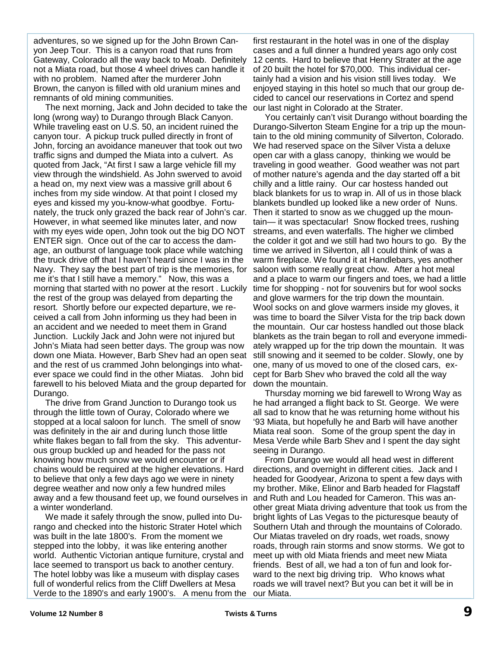adventures, so we signed up for the John Brown Canyon Jeep Tour. This is a canyon road that runs from Gateway, Colorado all the way back to Moab. Definitely not a Miata road, but those 4 wheel drives can handle it with no problem. Named after the murderer John Brown, the canyon is filled with old uranium mines and remnants of old mining communities.

The next morning, Jack and John decided to take the long (wrong way) to Durango through Black Canyon. While traveling east on U.S. 50, an incident ruined the canyon tour. A pickup truck pulled directly in front of John, forcing an avoidance maneuver that took out two traffic signs and dumped the Miata into a culvert. As quoted from Jack, "At first I saw a large vehicle fill my view through the windshield. As John swerved to avoid a head on, my next view was a massive grill about 6 inches from my side window. At that point I closed my eyes and kissed my you-know-what goodbye. Fortunately, the truck only grazed the back rear of John's car. However, in what seemed like minutes later, and now with my eyes wide open, John took out the big DO NOT ENTER sign. Once out of the car to access the damage, an outburst of language took place while watching the truck drive off that I haven't heard since I was in the Navy. They say the best part of trip is the memories, for me it's that I still have a memory." Now, this was a morning that started with no power at the resort . Luckily the rest of the group was delayed from departing the resort. Shortly before our expected departure, we received a call from John informing us they had been in an accident and we needed to meet them in Grand Junction. Luckily Jack and John were not injured but John's Miata had seen better days. The group was now down one Miata. However, Barb Shev had an open seat and the rest of us crammed John belongings into whatever space we could find in the other Miatas. John bid farewell to his beloved Miata and the group departed for Durango.

The drive from Grand Junction to Durango took us through the little town of Ouray, Colorado where we stopped at a local saloon for lunch. The smell of snow was definitely in the air and during lunch those little white flakes began to fall from the sky. This adventurous group buckled up and headed for the pass not knowing how much snow we would encounter or if chains would be required at the higher elevations. Hard to believe that only a few days ago we were in ninety degree weather and now only a few hundred miles away and a few thousand feet up, we found ourselves in a winter wonderland.

We made it safely through the snow, pulled into Durango and checked into the historic Strater Hotel which was built in the late 1800's. From the moment we stepped into the lobby, it was like entering another world. Authentic Victorian antique furniture, crystal and lace seemed to transport us back to another century. The hotel lobby was like a museum with display cases full of wonderful relics from the Cliff Dwellers at Mesa Verde to the 1890's and early 1900's. A menu from the

first restaurant in the hotel was in one of the display cases and a full dinner a hundred years ago only cost 12 cents. Hard to believe that Henry Strater at the age of 20 built the hotel for \$70,000. This individual certainly had a vision and his vision still lives today. We enjoyed staying in this hotel so much that our group decided to cancel our reservations in Cortez and spend our last night in Colorado at the Strater.

You certainly can't visit Durango without boarding the Durango-Silverton Steam Engine for a trip up the mountain to the old mining community of Silverton, Colorado. We had reserved space on the Silver Vista a deluxe open car with a glass canopy, thinking we would be traveling in good weather. Good weather was not part of mother nature's agenda and the day started off a bit chilly and a little rainy. Our car hostess handed out black blankets for us to wrap in. All of us in those black blankets bundled up looked like a new order of Nuns. Then it started to snow as we chugged up the mountain— it was spectacular! Snow flocked trees, rushing streams, and even waterfalls. The higher we climbed the colder it got and we still had two hours to go. By the time we arrived in Silverton, all I could think of was a warm fireplace. We found it at Handlebars, yes another saloon with some really great chow. After a hot meal and a place to warm our fingers and toes, we had a little time for shopping - not for souvenirs but for wool socks and glove warmers for the trip down the mountain. Wool socks on and glove warmers inside my gloves, it was time to board the Silver Vista for the trip back down the mountain. Our car hostess handled out those black blankets as the train began to roll and everyone immediately wrapped up for the trip down the mountain. It was still snowing and it seemed to be colder. Slowly, one by one, many of us moved to one of the closed cars, except for Barb Shev who braved the cold all the way down the mountain.

Thursday morning we bid farewell to Wrong Way as he had arranged a flight back to St. George. We were all sad to know that he was returning home without his '93 Miata, but hopefully he and Barb will have another Miata real soon. Some of the group spent the day in Mesa Verde while Barb Shev and I spent the day sight seeing in Durango.

From Durango we would all head west in different directions, and overnight in different cities. Jack and I headed for Goodyear, Arizona to spent a few days with my brother. Mike, Elinor and Barb headed for Flagstaff and Ruth and Lou headed for Cameron. This was another great Miata driving adventure that took us from the bright lights of Las Vegas to the picturesque beauty of Southern Utah and through the mountains of Colorado. Our Miatas traveled on dry roads, wet roads, snowy roads, through rain storms and snow storms. We got to meet up with old Miata friends and meet new Miata friends. Best of all, we had a ton of fun and look forward to the next big driving trip. Who knows what roads we will travel next? But you can bet it will be in our Miata.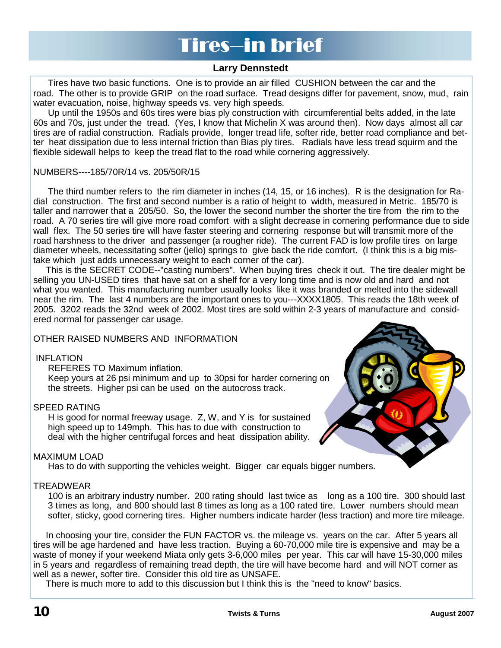# **Tires-in brief**

### **Larry Dennstedt**

 Tires have two basic functions. One is to provide an air filled CUSHION between the car and the road. The other is to provide GRIP on the road surface. Tread designs differ for pavement, snow, mud, rain water evacuation, noise, highway speeds vs. very high speeds.

 Up until the 1950s and 60s tires were bias ply construction with circumferential belts added, in the late 60s and 70s, just under the tread. (Yes, I know that Michelin X was around then). Now days almost all car tires are of radial construction. Radials provide, longer tread life, softer ride, better road compliance and better heat dissipation due to less internal friction than Bias ply tires. Radials have less tread squirm and the flexible sidewall helps to keep the tread flat to the road while cornering aggressively.

#### NUMBERS----185/70R/14 vs. 205/50R/15

 The third number refers to the rim diameter in inches (14, 15, or 16 inches). R is the designation for Radial construction. The first and second number is a ratio of height to width, measured in Metric. 185/70 is taller and narrower that a 205/50. So, the lower the second number the shorter the tire from the rim to the road. A 70 series tire will give more road comfort with a slight decrease in cornering performance due to side wall flex. The 50 series tire will have faster steering and cornering response but will transmit more of the road harshness to the driver and passenger (a rougher ride). The current FAD is low profile tires on large diameter wheels, necessitating softer (jello) springs to give back the ride comfort. (I think this is a big mistake which just adds unnecessary weight to each corner of the car).

 This is the SECRET CODE--"casting numbers". When buying tires check it out. The tire dealer might be selling you UN-USED tires that have sat on a shelf for a very long time and is now old and hard and not what you wanted. This manufacturing number usually looks like it was branded or melted into the sidewall near the rim. The last 4 numbers are the important ones to you---XXXX1805. This reads the 18th week of 2005. 3202 reads the 32nd week of 2002. Most tires are sold within 2-3 years of manufacture and considered normal for passenger car usage.

#### OTHER RAISED NUMBERS AND INFORMATION

#### INFLATION

REFERES TO Maximum inflation.

 Keep yours at 26 psi minimum and up to 30psi for harder cornering on the streets. Higher psi can be used on the autocross track.

#### SPEED RATING

 H is good for normal freeway usage. Z, W, and Y is for sustained high speed up to 149mph. This has to due with construction to deal with the higher centrifugal forces and heat dissipation ability.



Has to do with supporting the vehicles weight. Bigger car equals bigger numbers.

#### TREADWEAR

 100 is an arbitrary industry number. 200 rating should last twice as long as a 100 tire. 300 should last 3 times as long, and 800 should last 8 times as long as a 100 rated tire. Lower numbers should mean softer, sticky, good cornering tires. Higher numbers indicate harder (less traction) and more tire mileage.

 In choosing your tire, consider the FUN FACTOR vs. the mileage vs. years on the car. After 5 years all tires will be age hardened and have less traction. Buying a 60-70,000 mile tire is expensive and may be a waste of money if your weekend Miata only gets 3-6,000 miles per year. This car will have 15-30,000 miles in 5 years and regardless of remaining tread depth, the tire will have become hard and will NOT corner as well as a newer, softer tire. Consider this old tire as UNSAFE.

There is much more to add to this discussion but I think this is the "need to know" basics.

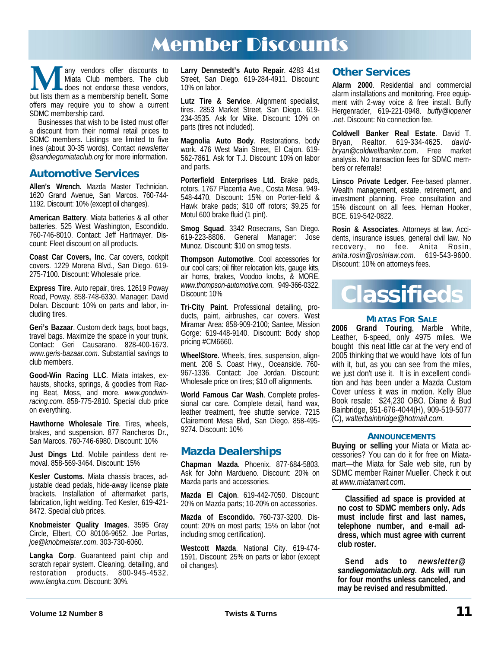# Member Discounts

**M** any vendors offer discounts to Milata Club members. The club does not endorse these vendors, but lists them as a membership benefit. Some Miata Club members. The club does not endorse these vendors, offers may require you to show a current SDMC membership card.

Businesses that wish to be listed must offer a discount from their normal retail prices to SDMC members. Listings are limited to five lines (about 30-35 words). Contact *newsletter @sandiegomiataclub.org* for more information.

### **Automotive Services**

**Allen's Wrench.** Mazda Master Technician. 1620 Grand Avenue, San Marcos. 760-744- 1192. Discount: 10% (except oil changes).

**American Battery**. Miata batteries & all other batteries. 525 West Washington, Escondido. 760-746-8010. Contact: Jeff Hartmayer. Discount: Fleet discount on all products.

**Coast Car Covers, Inc**. Car covers, cockpit covers. 1229 Morena Blvd., San Diego. 619- 275-7100. Discount: Wholesale price.

**Express Tire**. Auto repair, tires. 12619 Poway Road, Poway. 858-748-6330. Manager: David Dolan. Discount: 10% on parts and labor, including tires.

**Geri's Bazaar**. Custom deck bags, boot bags, travel bags. Maximize the space in your trunk. Contact: Geri Causarano. 828-400-1673. *www.geris-bazaar.com*. Substantial savings to club members.

**Good-Win Racing LLC**. Miata intakes, exhausts, shocks, springs, & goodies from Racing Beat, Moss, and more. *www.goodwinracing.com*. 858-775-2810. Special club price on everything.

**Hawthorne Wholesale Tire**. Tires, wheels, brakes, and suspension. 877 Rancheros Dr., San Marcos. 760-746-6980. Discount: 10%

**Just Dings Ltd**. Mobile paintless dent removal. 858-569-3464. Discount: 15%

**Kesler Customs**. Miata chassis braces, adjustable dead pedals, hide-away license plate brackets. Installation of aftermarket parts, fabrication, light welding. Ted Kesler, 619-421- 8472. Special club prices.

**Knobmeister Quality Images**. 3595 Gray Circle, Elbert, CO 80106-9652. Joe Portas, *joe@knobmeister.com*. 303-730-6060.

**Langka Corp**. Guaranteed paint chip and scratch repair system. Cleaning, detailing, and restoration products. 800-945-4532. *www.langka.com*. Discount: 30%.

**Larry Dennstedt's Auto Repair**. 4283 41st Street, San Diego. 619-284-4911. Discount: 10% on labor.

**Lutz Tire & Service**. Alignment specialist, tires. 2853 Market Street, San Diego. 619- 234-3535. Ask for Mike. Discount: 10% on parts (tires not included).

**Magnolia Auto Body**. Restorations, body work. 476 West Main Street, El Cajon. 619- 562-7861. Ask for T.J. Discount: 10% on labor and parts.

**Porterfield Enterprises Ltd**. Brake pads, rotors. 1767 Placentia Ave., Costa Mesa. 949- 548-4470. Discount: 15% on Porter-field & Hawk brake pads; \$10 off rotors; \$9.25 for Motul 600 brake fluid (1 pint).

**Smog Squad**. 3342 Rosecrans, San Diego. 619-223-8806. General Manager: Jose Munoz. Discount: \$10 on smog tests.

**Thompson Automotive**. Cool accessories for our cool cars; oil filter relocation kits, gauge kits, air horns, brakes, Voodoo knobs, & MORE. *www.thompson-automotive.com*. 949-366-0322. Discount: 10%

**Tri-City Paint**. Professional detailing, products, paint, airbrushes, car covers. West Miramar Area: 858-909-2100; Santee, Mission Gorge: 619-448-9140. Discount: Body shop pricing #CM6660.

**WheelStore**. Wheels, tires, suspension, alignment. 208 S. Coast Hwy., Oceanside. 760- 967-1336. Contact: Joe Jordan. Discount: Wholesale price on tires; \$10 off alignments.

**World Famous Car Wash**. Complete professional car care. Complete detail, hand wax, leather treatment, free shuttle service. 7215 Clairemont Mesa Blvd, San Diego. 858-495- 9274. Discount: 10%

## **Mazda Dealerships**

**Chapman Mazda**. Phoenix. 877-684-5803. Ask for John Mardueno. Discount: 20% on Mazda parts and accessories.

**Mazda El Cajon**. 619-442-7050. Discount: 20% on Mazda parts; 10-20% on accessories.

**Mazda of Escondido.** 760-737-3200. Discount: 20% on most parts; 15% on labor (not including smog certification).

**Westcott Mazda**. National City. 619-474- 1591. Discount: 25% on parts or labor (except oil changes).

### **Other Services**

**Alarm 2000**. Residential and commercial alarm installations and monitoring. Free equipment with 2-way voice & free install. Buffy Hergenrader, 619-221-0948. *buffy@iopener .net*. Discount: No connection fee.

**Coldwell Banker Real Estate**. David T. Bryan, Realtor. 619-334-4625. *davidbryan@coldwellbanker.com*. Free market analysis. No transaction fees for SDMC members or referrals!

**Linsco Private Ledger**. Fee-based planner. Wealth management, estate, retirement, and investment planning. Free consultation and 15% discount on all fees. Hernan Hooker, BCE. 619-542-0822.

**Rosin & Associates**. Attorneys at law. Accidents, insurance issues, general civil law. No recovery, no fee. Anita Rosin, *anita.rosin@rosinlaw.com*. 619-543-9600. Discount: 10% on attorneys fees.



#### **MIATAS FOR SALE**

**2006 Grand Touring**, Marble White, Leather, 6-speed, only 4975 miles. We bought this neat little car at the very end of 2005 thinking that we would have lots of fun with it, but, as you can see from the miles, we just don't use it. It is in excellent condition and has been under a Mazda Custom Cover unless it was in motion. Kelly Blue Book resale: \$24,230 OBO. Diane & Bud Bainbridge, 951-676-4044(H), 909-519-5077 (C), *walterbainbridge@hotmail.com.*

#### **ANNOUNCEMENTS**

**Buying or selling** your Miata or Miata accessories? You can do it for free on Miatamart—the Miata for Sale web site, run by SDMC member Rainer Mueller. Check it out at *www.miatamart.com*.

**Classified ad space is provided at no cost to SDMC members only. Ads must include first and last names, telephone number, and e-mail address, which must agree with current club roster.** 

**Send ads to** *newsletter@ sandiegomiataclub.org***. Ads will run for four months unless canceled, and may be revised and resubmitted.**